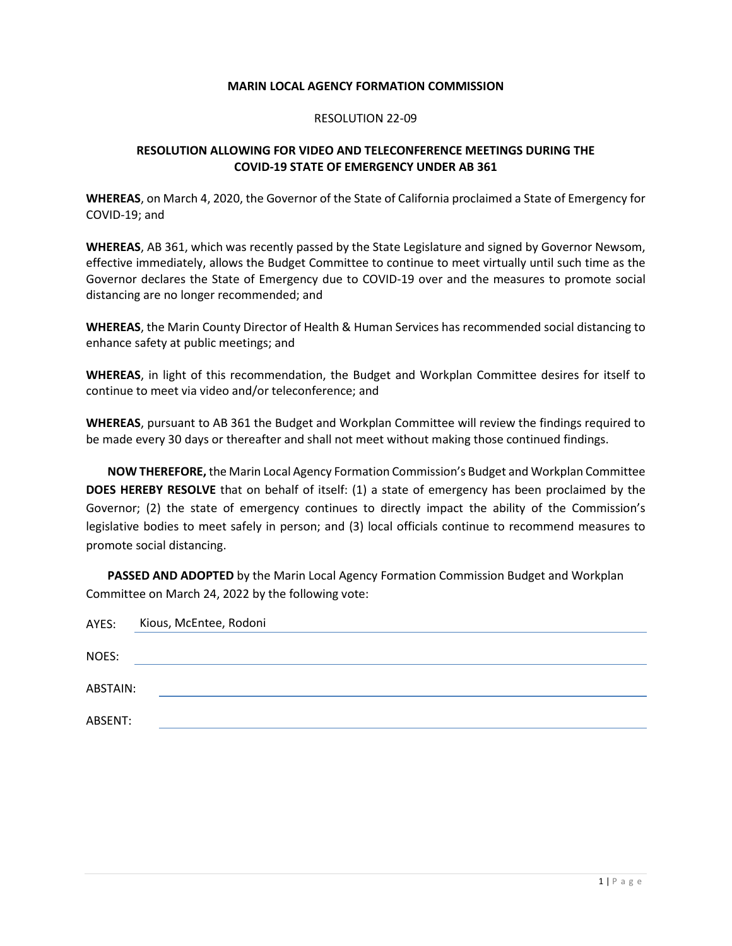## **MARIN LOCAL AGENCY FORMATION COMMISSION**

## RESOLUTION 22-09

## **COVID-19 STATE OF EMERGENCY UNDER AB 361 RESOLUTION ALLOWING FOR VIDEO AND TELECONFERENCE MEETINGS DURING THE**

 **WHEREAS**, on March 4, 2020, the Governor of the State of California proclaimed a State of Emergency for COVID-19; and

 distancing are no longer recommended; and **WHEREAS**, AB 361, which was recently passed by the State Legislature and signed by Governor Newsom, effective immediately, allows the Budget Committee to continue to meet virtually until such time as the Governor declares the State of Emergency due to COVID-19 over and the measures to promote social

**WHEREAS**, the Marin County Director of Health & Human Services has recommended social distancing to enhance safety at public meetings; and

**WHEREAS**, in light of this recommendation, the Budget and Workplan Committee desires for itself to continue to meet via video and/or teleconference; and

 **WHEREAS**, pursuant to AB 361 the Budget and Workplan Committee will review the findings required to be made every 30 days or thereafter and shall not meet without making those continued findings.

 **NOW THEREFORE,** the Marin Local Agency Formation Commission's Budget and Workplan Committee Governor; (2) the state of emergency continues to directly impact the ability of the Commission's legislative bodies to meet safely in person; and (3) local officials continue to recommend measures to promote social distancing. **DOES HEREBY RESOLVE** that on behalf of itself: (1) a state of emergency has been proclaimed by the

 Committee on March 24, 2022 by the following vote: **PASSED AND ADOPTED** by the Marin Local Agency Formation Commission Budget and Workplan

| AYES:    | Kious, McEntee, Rodoni |  |
|----------|------------------------|--|
|          |                        |  |
| NOES:    |                        |  |
|          |                        |  |
| ABSTAIN: |                        |  |
|          |                        |  |
| ABSENT:  |                        |  |
|          |                        |  |
|          |                        |  |
|          |                        |  |
|          |                        |  |
|          |                        |  |
|          |                        |  |
|          |                        |  |
|          |                        |  |
|          |                        |  |
|          | 1   P a g e            |  |